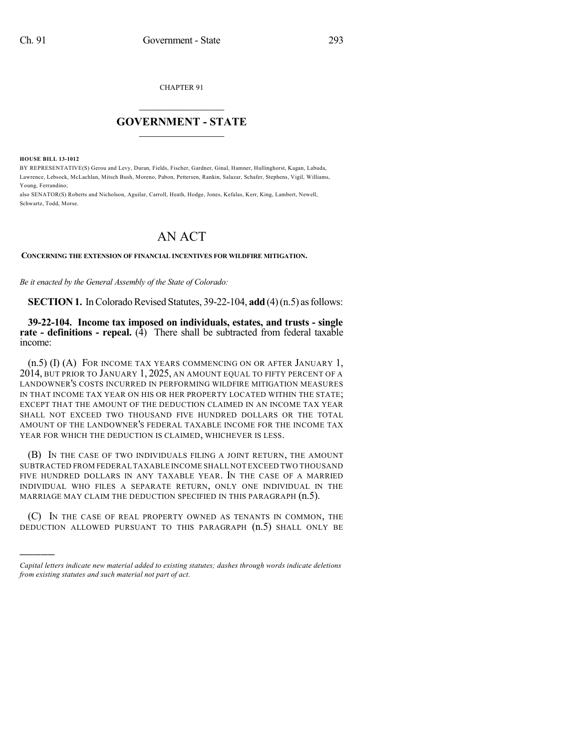CHAPTER 91

## $\mathcal{L}_\text{max}$  . The set of the set of the set of the set of the set of the set of the set of the set of the set of the set of the set of the set of the set of the set of the set of the set of the set of the set of the set **GOVERNMENT - STATE**  $\_$   $\_$   $\_$   $\_$   $\_$   $\_$   $\_$   $\_$

**HOUSE BILL 13-1012**

)))))

BY REPRESENTATIVE(S) Gerou and Levy, Duran, Fields, Fischer, Gardner, Ginal, Hamner, Hullinghorst, Kagan, Labuda, Lawrence, Lebsock, McLachlan, Mitsch Bush, Moreno, Pabon, Pettersen, Rankin, Salazar, Schafer, Stephens, Vigil, Williams, Young, Ferrandino;

also SENATOR(S) Roberts and Nicholson, Aguilar, Carroll, Heath, Hodge, Jones, Kefalas, Kerr, King, Lambert, Newell, Schwartz, Todd, Morse.

## AN ACT

## **CONCERNING THE EXTENSION OF FINANCIAL INCENTIVES FOR WILDFIRE MITIGATION.**

*Be it enacted by the General Assembly of the State of Colorado:*

**SECTION 1.** In Colorado Revised Statutes, 39-22-104, **add** (4) (n.5) as follows:

**39-22-104. Income tax imposed on individuals, estates, and trusts - single rate - definitions - repeal.** (4) There shall be subtracted from federal taxable income:

(n.5) (I) (A) FOR INCOME TAX YEARS COMMENCING ON OR AFTER JANUARY 1, 2014, BUT PRIOR TO JANUARY 1, 2025, AN AMOUNT EQUAL TO FIFTY PERCENT OF A LANDOWNER'S COSTS INCURRED IN PERFORMING WILDFIRE MITIGATION MEASURES IN THAT INCOME TAX YEAR ON HIS OR HER PROPERTY LOCATED WITHIN THE STATE; EXCEPT THAT THE AMOUNT OF THE DEDUCTION CLAIMED IN AN INCOME TAX YEAR SHALL NOT EXCEED TWO THOUSAND FIVE HUNDRED DOLLARS OR THE TOTAL AMOUNT OF THE LANDOWNER'S FEDERAL TAXABLE INCOME FOR THE INCOME TAX YEAR FOR WHICH THE DEDUCTION IS CLAIMED, WHICHEVER IS LESS.

(B) IN THE CASE OF TWO INDIVIDUALS FILING A JOINT RETURN, THE AMOUNT SUBTRACTED FROM FEDERAL TAXABLE INCOME SHALL NOT EXCEED TWO THOUSAND FIVE HUNDRED DOLLARS IN ANY TAXABLE YEAR. IN THE CASE OF A MARRIED INDIVIDUAL WHO FILES A SEPARATE RETURN, ONLY ONE INDIVIDUAL IN THE MARRIAGE MAY CLAIM THE DEDUCTION SPECIFIED IN THIS PARAGRAPH  $(n.5)$ .

(C) IN THE CASE OF REAL PROPERTY OWNED AS TENANTS IN COMMON, THE DEDUCTION ALLOWED PURSUANT TO THIS PARAGRAPH (n.5) SHALL ONLY BE

*Capital letters indicate new material added to existing statutes; dashes through words indicate deletions from existing statutes and such material not part of act.*